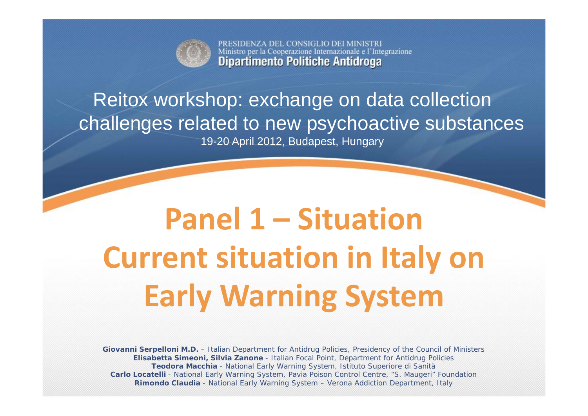

PRESIDENZA DEL CONSIGLIO DEI MINISTRI Ministro per la Cooperazione Internazionale e l'Integrazione **Dipartimento Politiche Antidroga** 

## Reitox workshop: exchange on data collection challenges related to new psychoactive substances 19-20 April 2012, Budapest, Hungary

# **Panel 1 – Situation Current situation in Italy on Early Warning System**

**Giovanni Serpelloni M.D.** – Italian Department for Antidrug Policies, Presidency of the Council of Ministers **Elisabetta Simeoni, Silvia Zanone** - Italian Focal Point, Department for Antidrug Policies **Teodora Macchia** - National Early Warning System, Istituto Superiore di Sanità **Carlo Locatelli** - National Early Warning System, Pavia Poison Control Centre, "S. Maugeri" Foundation **Rimondo Claudia** - National Early Warning System – Verona Addiction Department, Italy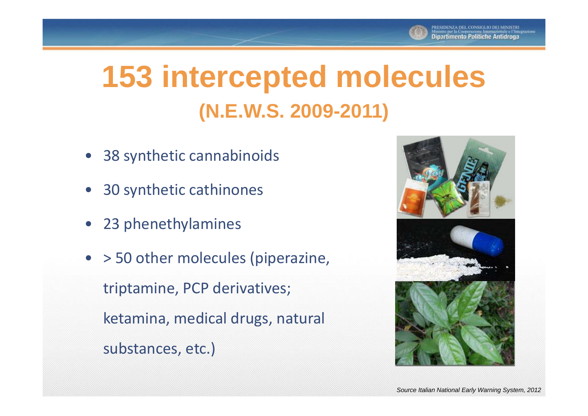

# **153 intercepted molecules (N.E.W.S. 2009-2011)**

- •38 synthetic cannabinoids
- 30 synthetic cathinones
- 23 phenethylamines
- > 50 other molecules (piperazine, triptamine, PCP derivatives; ketamina, medical drugs, natural substances, etc.)

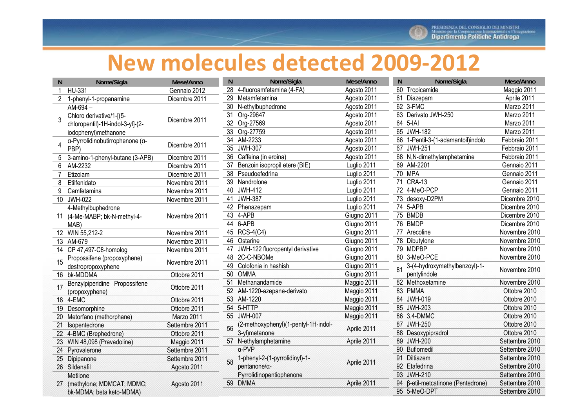

## **New molecules detected 2009 ‐2012**

| <sub>N</sub> | Nome/Sigla                              | Mese/Anno      | N. | Nome/Sigla                                     | Mese/Anno   | N  | Nome/Sigla                         | Mese/Anno      |
|--------------|-----------------------------------------|----------------|----|------------------------------------------------|-------------|----|------------------------------------|----------------|
|              | HU-331                                  | Gennaio 2012   |    | 28 4-fluoroamfetamina (4-FA)                   | Agosto 2011 |    | 60 Tropicamide                     | Maggio 2011    |
| 2            | 1-phenyl-1-propanamine                  | Dicembre 2011  |    | 29 Metamfetamina                               | Agosto 2011 |    | 61 Diazepam                        | Aprile 2011    |
|              | AM-694-                                 |                |    | 30 N-ethylbuphedrone                           | Agosto 2011 |    | 62 3-FMC                           | Marzo 2011     |
| 3            | Chloro derivative/1-[(5-                | Dicembre 2011  |    | 31 Org-29647                                   | Agosto 2011 |    | 63 Derivato JWH-250                | Marzo 2011     |
|              | chloropentil)-1H-indol-3-yl]-(2-        |                |    | 32 Org-27569                                   | Agosto 2011 |    | 64 5-IAI                           | Marzo 2011     |
|              | iodophenyl) methanone                   |                |    | 33 Org-27759                                   | Agosto 2011 |    | 65 JWH-182                         | Marzo 2011     |
|              | α-Pyrrolidinobutirrophenone (α-<br>PBP) | Dicembre 2011  |    | 34 AM-2233                                     | Agosto 2011 |    | 66 1-Pentil-3-(1-adamantoil)indolo | Febbraio 2011  |
| 4            |                                         |                |    | 35 JWH-307                                     | Agosto 2011 |    | 67 JWH-251                         | Febbraio 2011  |
| 5            | 3-amino-1-phenyl-butane (3-APB)         | Dicembre 2011  |    | 36 Caffeina (in eroina)                        | Agosto 2011 |    | 68 N,N-dimethylamphetamine         | Febbraio 2011  |
| 6            | AM-2232                                 | Dicembre 2011  | 37 | Benzoin isopropil etere (BIE)                  | Luglio 2011 |    | 69 AM-2201                         | Gennaio 2011   |
|              | Etizolam                                | Dicembre 2011  |    | 38 Pseudoefedrina                              | Luglio 2011 |    | 70 MPA                             | Gennaio 2011   |
| 8            | Etilfenidato                            | Novembre 2011  |    | 39 Nandrolone                                  | Luglio 2011 |    | 71 CRA-13                          | Gennaio 2011   |
| 9            | Camfetamina                             | Novembre 2011  |    | 40 JWH-412                                     | Luglio 2011 |    | 72 4-MeO-PCP                       | Gennaio 2011   |
| 10           | <b>JWH-022</b>                          | Novembre 2011  |    | 41 JWH-387                                     | Luglio 2011 |    | 73 desoxy-D2PM                     | Dicembre 2010  |
|              | 4-Methylbuphedrone                      |                |    | 42 Phenazepam                                  | Luglio 2011 |    | 74 5-APB                           | Dicembre 2010  |
|              | 11 (4-Me-MABP; bk-N-methyl-4-           | Novembre 2011  |    | 43 4-APB                                       | Giugno 2011 |    | 75 BMDB                            | Dicembre 2010  |
|              | MAB)                                    |                |    | 44 6-APB                                       | Giugno 2011 |    | 76 BMDP                            | Dicembre 2010  |
|              | 12 WIN 55,212-2                         | Novembre 2011  |    | 45 RCS-4(C4)                                   | Giugno 2011 |    | 77 Arecoline                       | Novembre 2010  |
|              | 13 AM-679                               | Novembre 2011  |    | 46 Ostarine                                    | Giugno 2011 |    | 78 Dibutylone                      | Novembre 2010  |
|              | 14 CP 47,497-C8-homolog                 | Novembre 2011  |    | 47 JWH-122 fluoropentyl derivative             | Giugno 2011 |    | 79 MDPBP                           | Novembre 2010  |
|              | Propossifene (propoxyphene)             |                |    | 48 2C-C-NBOMe                                  | Giugno 2011 |    | 80 3-MeO-PCE                       | Novembre 2010  |
| 15           | destropropoxyphene                      | Novembre 2011  |    | 49 Colofonia in hashish                        | Giugno 2011 | 81 | 3-(4-hydroxymethylbenzoyl)-1-      |                |
|              | 16 bk-MDDMA                             | Ottobre 2011   |    | 50 OMMA                                        | Giugno 2011 |    | pentylindole                       | Novembre 2010  |
|              | Benzylpiperidine Propossifene           | Ottobre 2011   |    | 51 Methanandamide                              | Maggio 2011 |    | 82 Methoxetamine                   | Novembre 2010  |
| 17           | (propoxyphene)                          |                |    | 52 AM-1220-azepane-derivato                    | Maggio 2011 |    | 83 PMMA                            | Ottobre 2010   |
|              | 18 4-EMC                                | Ottobre 2011   |    | 53 AM-1220                                     | Maggio 2011 |    | 84 JWH-019                         | Ottobre 2010   |
|              | 19 Desomorphine                         | Ottobre 2011   |    | 54 5-HTTP                                      | Maggio 2011 |    | 85 JWH-203                         | Ottobre 2010   |
|              | 20 Metorfano (methorphane)              | Marzo 2011     |    | 55 JWH-007                                     | Maggio 2011 |    | 86 3,4-DMMC                        | Ottobre 2010   |
|              | 21 Isopentedrone                        | Settembre 2011 |    | (2-methoxyphenyl)(1-pentyl-1H-indol-           | Aprile 2011 |    | 87 JWH-250                         | Ottobre 2010   |
|              | 22 4-BMC (Brephedrone)                  | Ottobre 2011   |    | 3-yl)metanone                                  |             |    | 88 Desoxypipradrol                 | Ottobre 2010   |
|              | 23 WIN 48,098 (Pravadoline)             | Maggio 2011    |    | 57 N-ethylamphetamine                          | Aprile 2011 |    | 89 JWH-200                         | Settembre 2010 |
|              | 24 Pyrovalerone                         | Settembre 2011 |    | a-PVP                                          |             |    | 90 Buflomedil                      | Settembre 2010 |
|              | 25 Dipipanone                           | Settembre 2011 |    | 1-phenyl-2-(1-pyrrolidinyl)-1-<br>pentanone/a- | Aprile 2011 |    | 91 Diltiazem                       | Settembre 2010 |
|              | 26 Sildenafil                           | Agosto 2011    |    |                                                |             |    | 92 Etafedrina                      | Settembre 2010 |
|              | Metilone                                |                |    | Pyrrolidinopentiophenone                       |             |    | 93 JWH-210                         | Settembre 2010 |
|              | 27 (methylone; MDMCAT; MDMC;            | Agosto 2011    |    | 59 DMMA                                        | Aprile 2011 |    | 94 β-etil-metcatinone (Pentedrone) | Settembre 2010 |
|              | bk-MDMA; beta keto-MDMA)                |                |    |                                                |             |    | 95 5-MeO-DPT                       | Settembre 2010 |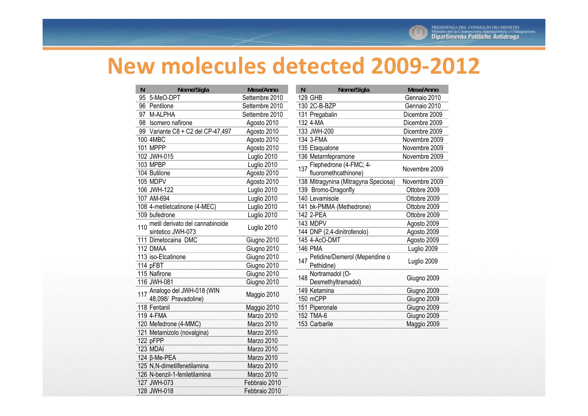

## **New molecules detected 2009‐2012**

| N   | Nome/Sigla                        | Mese/Anno      |
|-----|-----------------------------------|----------------|
| 95  | 5-MeO-DPT                         | Settembre 2010 |
| 96  | Pentilone                         | Settembre 2010 |
| 97  | M-ALPHA                           | Settembre 2010 |
| 98  | Isomero nafirone                  | Agosto 2010    |
|     | 99 Variante C8 + C2 del CP-47,497 | Agosto 2010    |
|     | 100 4MBC                          | Agosto 2010    |
|     | <b>101 MPPP</b>                   | Agosto 2010    |
|     | 102 JWH-015                       | Luglio 2010    |
|     | 103 MPBP                          | Luglio 2010    |
|     | 104 Butilone                      | Agosto 2010    |
|     | 105 MDPV                          | Agosto 2010    |
|     | 106 JWH-122                       | Luglio 2010    |
|     | 107 AM-694                        | Luglio 2010    |
|     | 108 4-metiletcatinone (4-MEC)     | Luglio 2010    |
|     | 109 bufedrone                     | Luglio 2010    |
| 110 | metil derivato del cannabinoide   | Luglio 2010    |
|     | sintetico JWH-073                 |                |
|     | 111 Dimetocaina DMC               | Giugno 2010    |
|     | 112 DMAA                          | Giugno 2010    |
|     | 113 iso-Etcatinone                | Giugno 2010    |
|     | 114 pFBT                          | Giugno 2010    |
|     | 115 Nafirone                      | Giugno 2010    |
|     | 116 JWH-081                       | Giugno 2010    |
|     | 117 Analogo del JWH-018 (WIN      | Maggio 2010    |
|     | 48,098/ Pravadoline)              |                |
|     | 118 Fentanil                      | Maggio 2010    |
|     | 119 4-FMA                         | Marzo 2010     |
|     | 120 Mefedrone (4-MMC)             | Marzo 2010     |
|     | 121 Metamizolo (novalgina)        | Marzo 2010     |
|     | 122 pFPP                          | Marzo 2010     |
|     | 123 MDAI                          | Marzo 2010     |
|     | 124 ß-Me-PEA                      | Marzo 2010     |
|     | 125 N,N-dimetilfenetilamina       | Marzo 2010     |
|     | 126 N-benzil-1-feniletilamina     | Marzo 2010     |
|     | 127 JWH-073                       | Febbraio 2010  |
|     | 128 JWH-018                       | Febbraio 2010  |

| N   | Nome/Sigla                                       | Mese/Anno     |
|-----|--------------------------------------------------|---------------|
|     | <b>129 GHB</b>                                   | Gennaio 2010  |
|     | 130 2C-B-BZP                                     | Gennaio 2010  |
|     | 131 Pregabalin                                   | Dicembre 2009 |
|     | 132 4-MA                                         | Dicembre 2009 |
|     | 133 JWH-200                                      | Dicembre 2009 |
|     | 134 3-FMA                                        | Novembre 2009 |
|     | 135 Etaqualone                                   | Novembre 2009 |
|     | 136 Metamfepramone                               | Novembre 2009 |
| 137 | Flephedrone (4-FMC; 4-<br>fluoromethcathinone)   | Novembre 2009 |
|     | 138 Mitragynina (Mitragyna Speciosa)             | Novembre 2009 |
|     | 139 Bromo-Dragonfly                              | Ottobre 2009  |
|     | 140 Levamisole                                   | Ottobre 2009  |
|     | 141 bk-PMMA (Methedrone)                         | Ottobre 2009  |
|     | 142 2-PEA                                        | Ottobre 2009  |
|     | 143 MDPV                                         | Agosto 2009   |
|     | 144 DNP (2,4-dinitrofenolo)                      | Agosto 2009   |
|     | 145 4-AcO-DMT                                    | Agosto 2009   |
|     | <b>146 PMA</b>                                   | Luglio 2009   |
|     | 147 Petidine/Demerol (Meperidine o<br>Pethidine) | Luglio 2009   |
|     | 148 Nortramadol (O-<br>Desmethyltramadol)        | Giugno 2009   |
|     | 149 Ketamina                                     | Giugno 2009   |
|     | 150 mCPP                                         | Giugno 2009   |
|     | 151 Piperonale                                   | Giugno 2009   |
|     | 152 TMA-6                                        | Giugno 2009   |
|     | 153 Carbarile                                    | Maggio 2009   |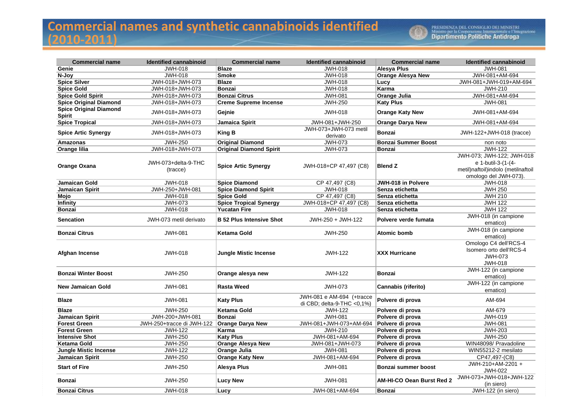#### **Commercial names and synthetic cannabinoids identified (2010 ‐2011)**



| <b>Commercial name</b>                         | <b>Identified cannabinoid</b>   | <b>Commercial name</b>          | <b>Identified cannabinoid</b>                                | <b>Commercial name</b>     | <b>Identified cannabinoid</b>                                                                                  |
|------------------------------------------------|---------------------------------|---------------------------------|--------------------------------------------------------------|----------------------------|----------------------------------------------------------------------------------------------------------------|
| Genie                                          | <b>JWH-018</b>                  | <b>Blaze</b>                    | <b>JWH-018</b>                                               | Alesya Plus                | <b>JWH-081</b>                                                                                                 |
| N-Joy                                          | <b>JWH-018</b>                  | <b>Smoke</b>                    | <b>JWH-018</b>                                               | <b>Orange Alesya New</b>   | JWH-081+AM-694                                                                                                 |
| <b>Spice Silver</b>                            | JWH-018+JWH-073                 | <b>Blaze</b>                    | <b>JWH-018</b>                                               | Lucy                       | JWH-081+JWH-019+AM-694                                                                                         |
| <b>Spice Gold</b>                              | JWH-018+JWH-073                 | <b>Bonzai</b>                   | <b>JWH-018</b>                                               | Karma                      | <b>JWH-210</b>                                                                                                 |
| <b>Spice Gold Spirit</b>                       | JWH-018+JWH-073                 | <b>Bonzai Citrus</b>            | <b>JWH-081</b>                                               | Orange Julia               | JWH-081+AM-694                                                                                                 |
| <b>Spice Original Diamond</b>                  | JWH-018+JWH-073                 | <b>Creme Supreme Incense</b>    | <b>JWH-250</b>                                               | <b>Katy Plus</b>           | <b>JWH-081</b>                                                                                                 |
| <b>Spice Original Diamond</b><br><b>Spirit</b> | JWH-018+JWH-073                 | Gejnie                          | JWH-018                                                      | <b>Orange Katy New</b>     | JWH-081+AM-694                                                                                                 |
| <b>Spice Tropical</b>                          | JWH-018+JWH-073                 | Jamaica Spirit                  | JWH-081+JWH-250                                              | <b>Orange Darya New</b>    | JWH-081+AM-694                                                                                                 |
| <b>Spice Artic Synergy</b>                     | JWH-018+JWH-073                 | <b>King B</b>                   | JWH-073+JWH-073 metil<br>derivato                            | <b>Bonzai</b>              | JWH-122+JWH-018 (tracce)                                                                                       |
| Amazonas                                       | <b>JWH-250</b>                  | <b>Original Diamond</b>         | JWH-073                                                      | <b>Bonzai Summer Boost</b> | non noto                                                                                                       |
| Orange lilia                                   | JWH-018+JWH-073                 | <b>Original Diamond Spirit</b>  | JWH-073                                                      | <b>Bonzai</b>              | <b>JWH-122</b>                                                                                                 |
| Orange Oxana                                   | JWH-073+delta-9-THC<br>(tracce) | <b>Spice Artic Synergy</b>      | JWH-018+CP 47,497 (C8)                                       | <b>Blend Z</b>             | JWH-073; JWH-122; JWH-018<br>e 1-butil-3-(1-(4-<br>metil)naftoil)indolo (metilnaftoil<br>omologo del JWH-073). |
| <b>Jamaican Gold</b>                           | <b>JWH-018</b>                  | <b>Spice Diamond</b>            | CP 47,497 (C8)                                               | <b>JWH-018 in Polvere</b>  | <b>JWH-018</b>                                                                                                 |
| Jamaican Spirit                                | JWH-250+JWH-081                 | <b>Spice Diamond Spirit</b>     | <b>JWH-018</b>                                               | Senza etichetta            | <b>JWH 250</b>                                                                                                 |
| Mojo                                           | <b>JWH-018</b>                  | <b>Spice Gold</b>               | CP 47,497 (C8)                                               | Senza etichetta            | <b>JWH 210</b>                                                                                                 |
| Infinity                                       | <b>JWH-073</b>                  | <b>Spice Tropical Synergy</b>   | JWH-018+CP 47,497 (C8)                                       | Senza etichetta            | <b>JWH 122</b>                                                                                                 |
| <b>Bonzai</b>                                  | <b>JWH-018</b>                  | <b>Yucatan Fire</b>             | <b>JWH-018</b>                                               | Senza etichetta            | <b>JWH 122</b>                                                                                                 |
| <b>Sencation</b>                               | JWH-073 metil derivato          | <b>B</b> 52 Plus Intensive Shot | JWH-250 + JWH-122                                            | Polvere verde fumata       | JWH-018 (in campione<br>ematico)                                                                               |
| <b>Bonzai Citrus</b>                           | <b>JWH-081</b>                  | Ketama Gold                     | <b>JWH-250</b>                                               | Atomic bomb                | JWH-018 (in campione<br>ematico)                                                                               |
| <b>Afghan Incense</b>                          | JWH-018                         | <b>Jungle Mistic Incense</b>    | <b>JWH-122</b>                                               | <b>XXX Hurricane</b>       | Omologo C4 dell'RCS-4<br>Isomero orto dell'RCS-4<br><b>JWH-073</b><br><b>JWH-018</b>                           |
| <b>Bonzai Winter Boost</b>                     | <b>JWH-250</b>                  | Orange alesya new               | <b>JWH-122</b>                                               | <b>Bonzai</b>              | JWH-122 (in campione<br>ematico)                                                                               |
| <b>New Jamaican Gold</b>                       | <b>JWH-081</b>                  | <b>Rasta Weed</b>               | <b>JWH-073</b>                                               | Cannabis (riferito)        | JWH-122 (in campione<br>ematico)                                                                               |
| Blaze                                          | <b>JWH-081</b>                  | <b>Katy Plus</b>                | JWH-081 e AM-694 (+tracce<br>di CBD; delta-9-THC < $0,1\%$ ) | Polvere di prova           | AM-694                                                                                                         |
| <b>Blaze</b>                                   | <b>JWH-250</b>                  | Ketama Gold                     | <b>JWH-122</b>                                               | Polvere di prova           | AM-679                                                                                                         |
| Jamaican Spirit                                | JWH-200+JWH-081                 | <b>Bonzai</b>                   | <b>JWH-081</b>                                               | Polvere di prova           | <b>JWH-019</b>                                                                                                 |
| <b>Forest Green</b>                            | JWH-250+tracce di JWH-122       | <b>Orange Darya New</b>         | JWH-081+JWH-073+AM-694                                       | Polvere di prova           | <b>JWH-081</b>                                                                                                 |
| <b>Forest Green</b>                            | <b>JWH-122</b>                  | Karma                           | <b>JWH-210</b>                                               | Polvere di prova           | <b>JWH-203</b>                                                                                                 |
| <b>Intensive Shot</b>                          | <b>JWH-250</b>                  | <b>Katy Plus</b>                | JWH-081+AM-694                                               | Polvere di prova           | <b>JWH-250</b>                                                                                                 |
| Ketama Gold                                    | <b>JWH-250</b>                  | <b>Orange Alesya New</b>        | JWH-081+JWH-073                                              | Polvere di prova           | WIN48098/ Pravadoline                                                                                          |
| <b>Jungle Mistic Incense</b>                   | <b>JWH-122</b>                  | Orange Julia                    | <b>JWH-081</b>                                               | Polvere di prova           | WIN55212-2 mesilato                                                                                            |
| Jamaican Spirit                                | <b>JWH-250</b>                  | <b>Orange Katy New</b>          | JWH-081+AM-694                                               | Polvere di prova           | CP47,497-(C8)                                                                                                  |
| <b>Start of Fire</b>                           | <b>JWH-250</b>                  | Alesya Plus                     | <b>JWH-081</b>                                               | Bonzai summer boost        | JWH-210+AM-2201 +<br><b>JWH-022</b>                                                                            |
| Bonzai                                         | <b>JWH-250</b>                  | <b>Lucy New</b>                 | <b>JWH-081</b>                                               | AM-HI-CO Oean Burst Red 2  | JWH-073+JWH-018+JWH-122<br>(in siero)                                                                          |
| <b>Bonzai Citrus</b>                           | <b>JWH-018</b>                  | Lucy                            | JWH-081+AM-694                                               | <b>Bonzai</b>              | JWH-122 (in siero)                                                                                             |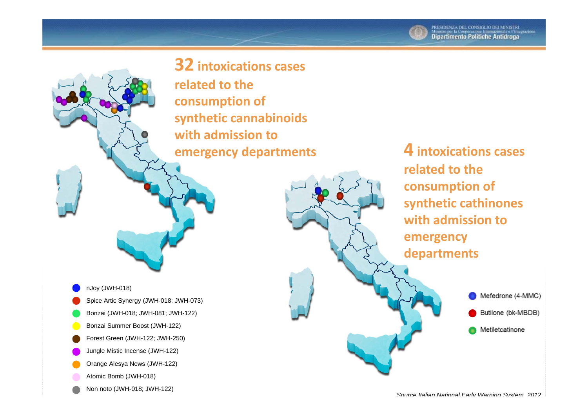**32 intoxications cases**

**related to the consumption of synthetic cannabinoids with admission toemergency departments**

nJoy (JWH-018) Spice Artic Synergy (JWH-018; JWH-073) Bonzai (JWH-018; JWH-081; JWH-122) Bonzai Summer Boost (JWH-122) Forest Green (JWH-122; JWH-250) Jungle Mistic Incense (JWH-122) Orange Alesya News (JWH-122) Atomic Bomb (JWH-018)

Non noto (JWH-018; JWH-122)

**4 intoxications cases related to the consumption of synthetic cathinones with admission toemergency departments**

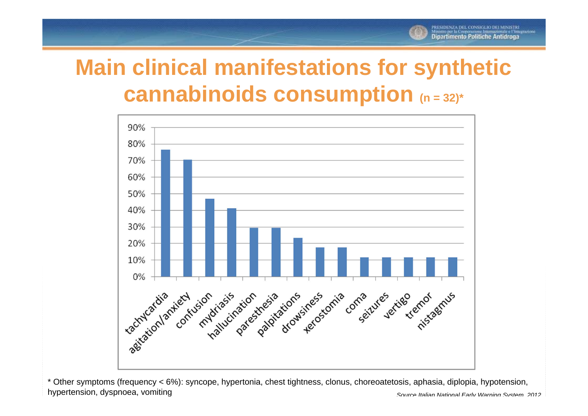# **Main clinical manifestations for synthetic cannabinoids consumption (n = 32)\***



\* Other symptoms (frequency < 6%): syncope, hypertonia, chest tightness, clonus, choreoatetosis, aphasia, diplopia, hypotension, hypertension, dyspnoea, vomitin g *Source Italian National Early Warning System <sup>2012</sup>*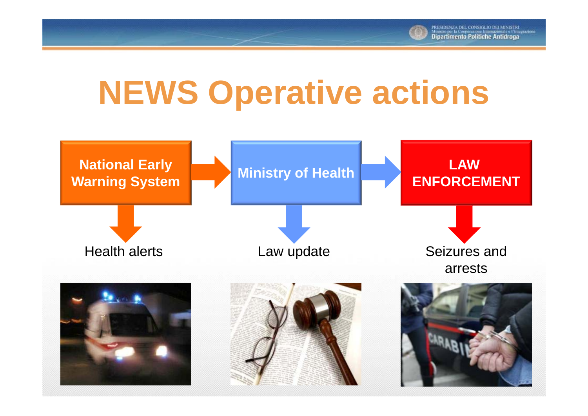

# **NEWS Operative actions**